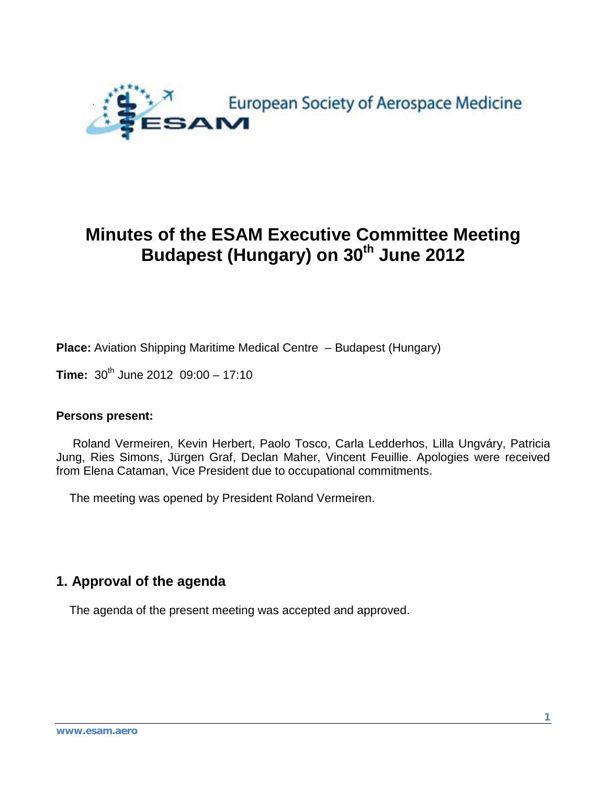

# **Minutes of the ESAM Executive Committee Meeting Budapest (Hungary) on 30<sup>th</sup> June 2012**

**Place:** Aviation Shipping Maritime Medical Centre – Budapest (Hungary)

**Time:**  $30^{th}$  June 2012  $09:00 - 17:10$ 

#### **Persons present:**

 Roland Vermeiren, Kevin Herbert, Paolo Tosco, Carla Ledderhos, Lilla Ungváry, Patricia Jung, Ries Simons, Jürgen Graf, Declan Maher, Vincent Feuillie. Apologies were received from Elena Cataman, Vice President due to occupational commitments.

The meeting was opened by President Roland Vermeiren.

### **1. Approval of the agenda**

The agenda of the present meeting was accepted and approved.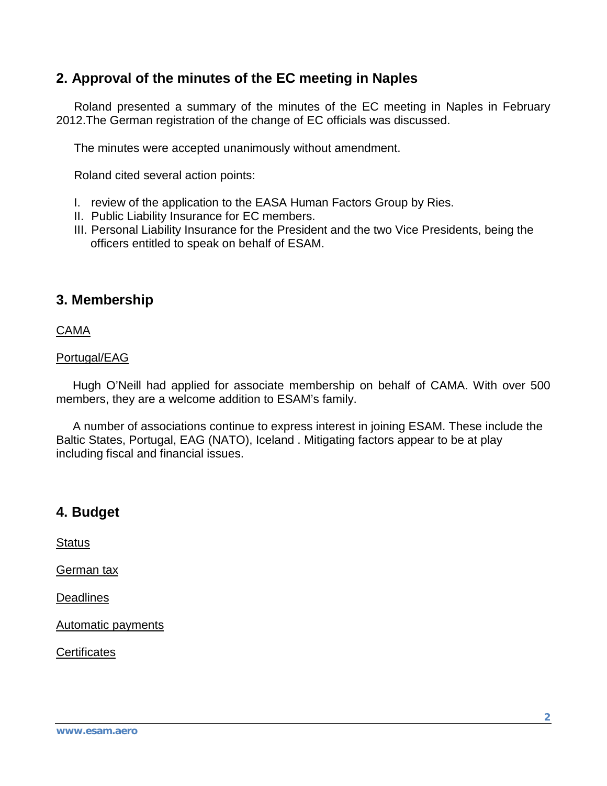# **2. Approval of the minutes of the EC meeting in Naples**

Roland presented a summary of the minutes of the EC meeting in Naples in February 2012.The German registration of the change of EC officials was discussed.

The minutes were accepted unanimously without amendment.

Roland cited several action points:

- I. review of the application to the EASA Human Factors Group by Ries.
- II. Public Liability Insurance for EC members.
- III. Personal Liability Insurance for the President and the two Vice Presidents, being the officers entitled to speak on behalf of ESAM.

### **3. Membership**

CAMA

#### Portugal/EAG

 Hugh O'Neill had applied for associate membership on behalf of CAMA. With over 500 members, they are a welcome addition to ESAM's family.

 A number of associations continue to express interest in joining ESAM. These include the Baltic States, Portugal, EAG (NATO), Iceland . Mitigating factors appear to be at play including fiscal and financial issues.

# **4. Budget**

**Status** 

German tax

**Deadlines** 

Automatic payments

**Certificates**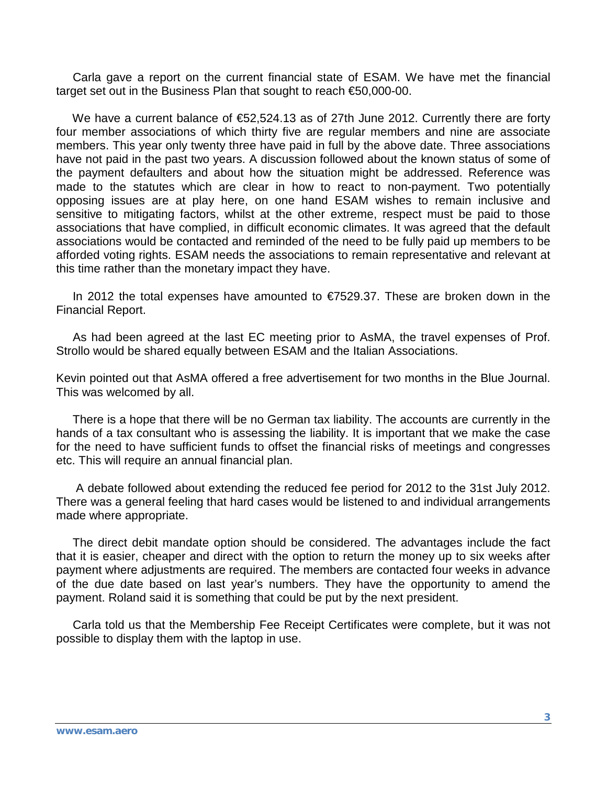Carla gave a report on the current financial state of ESAM. We have met the financial target set out in the Business Plan that sought to reach €50,000-00.

 We have a current balance of €52,524.13 as of 27th June 2012. Currently there are forty four member associations of which thirty five are regular members and nine are associate members. This year only twenty three have paid in full by the above date. Three associations have not paid in the past two years. A discussion followed about the known status of some of the payment defaulters and about how the situation might be addressed. Reference was made to the statutes which are clear in how to react to non-payment. Two potentially opposing issues are at play here, on one hand ESAM wishes to remain inclusive and sensitive to mitigating factors, whilst at the other extreme, respect must be paid to those associations that have complied, in difficult economic climates. It was agreed that the default associations would be contacted and reminded of the need to be fully paid up members to be afforded voting rights. ESAM needs the associations to remain representative and relevant at this time rather than the monetary impact they have.

 In 2012 the total expenses have amounted to €7529.37. These are broken down in the Financial Report.

 As had been agreed at the last EC meeting prior to AsMA, the travel expenses of Prof. Strollo would be shared equally between ESAM and the Italian Associations.

Kevin pointed out that AsMA offered a free advertisement for two months in the Blue Journal. This was welcomed by all.

 There is a hope that there will be no German tax liability. The accounts are currently in the hands of a tax consultant who is assessing the liability. It is important that we make the case for the need to have sufficient funds to offset the financial risks of meetings and congresses etc. This will require an annual financial plan.

 A debate followed about extending the reduced fee period for 2012 to the 31st July 2012. There was a general feeling that hard cases would be listened to and individual arrangements made where appropriate.

 The direct debit mandate option should be considered. The advantages include the fact that it is easier, cheaper and direct with the option to return the money up to six weeks after payment where adjustments are required. The members are contacted four weeks in advance of the due date based on last year's numbers. They have the opportunity to amend the payment. Roland said it is something that could be put by the next president.

 Carla told us that the Membership Fee Receipt Certificates were complete, but it was not possible to display them with the laptop in use.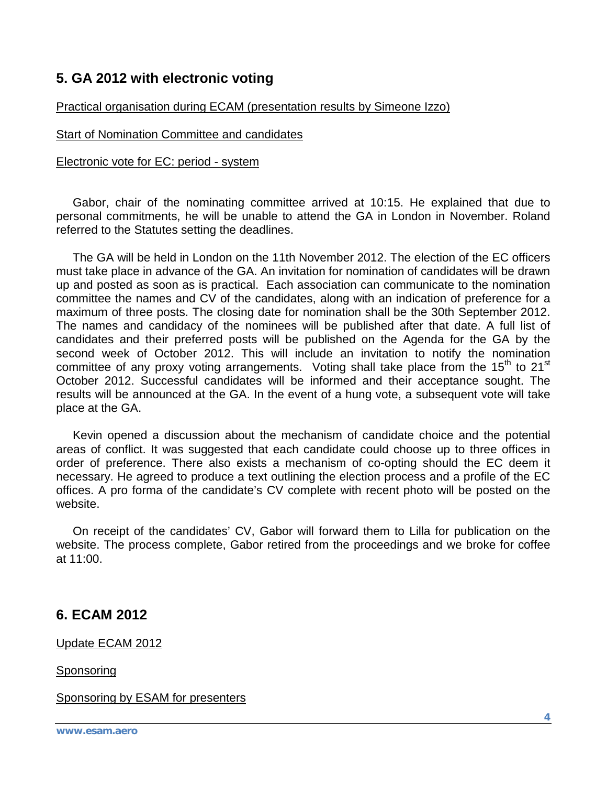# **5. GA 2012 with electronic voting**

### Practical organisation during ECAM (presentation results by Simeone Izzo)

### Start of Nomination Committee and candidates

#### Electronic vote for EC: period - system

 Gabor, chair of the nominating committee arrived at 10:15. He explained that due to personal commitments, he will be unable to attend the GA in London in November. Roland referred to the Statutes setting the deadlines.

 The GA will be held in London on the 11th November 2012. The election of the EC officers must take place in advance of the GA. An invitation for nomination of candidates will be drawn up and posted as soon as is practical. Each association can communicate to the nomination committee the names and CV of the candidates, along with an indication of preference for a maximum of three posts. The closing date for nomination shall be the 30th September 2012. The names and candidacy of the nominees will be published after that date. A full list of candidates and their preferred posts will be published on the Agenda for the GA by the second week of October 2012. This will include an invitation to notify the nomination committee of any proxy voting arrangements. Voting shall take place from the  $15<sup>th</sup>$  to  $21<sup>st</sup>$ October 2012. Successful candidates will be informed and their acceptance sought. The results will be announced at the GA. In the event of a hung vote, a subsequent vote will take place at the GA.

 Kevin opened a discussion about the mechanism of candidate choice and the potential areas of conflict. It was suggested that each candidate could choose up to three offices in order of preference. There also exists a mechanism of co-opting should the EC deem it necessary. He agreed to produce a text outlining the election process and a profile of the EC offices. A pro forma of the candidate's CV complete with recent photo will be posted on the website.

 On receipt of the candidates' CV, Gabor will forward them to Lilla for publication on the website. The process complete, Gabor retired from the proceedings and we broke for coffee at 11:00.

### **6. ECAM 2012**

Update ECAM 2012

Sponsoring

Sponsoring by ESAM for presenters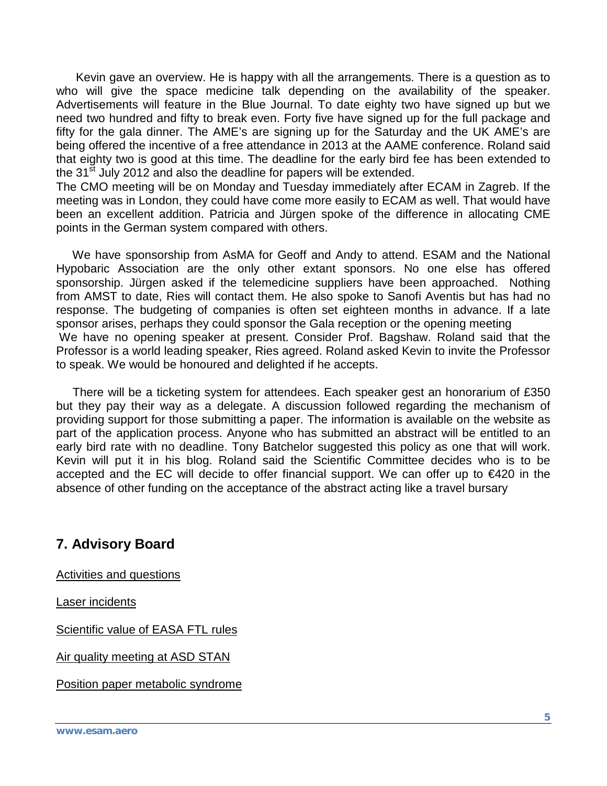Kevin gave an overview. He is happy with all the arrangements. There is a question as to who will give the space medicine talk depending on the availability of the speaker. Advertisements will feature in the Blue Journal. To date eighty two have signed up but we need two hundred and fifty to break even. Forty five have signed up for the full package and fifty for the gala dinner. The AME's are signing up for the Saturday and the UK AME's are being offered the incentive of a free attendance in 2013 at the AAME conference. Roland said that eighty two is good at this time. The deadline for the early bird fee has been extended to the 31<sup>st</sup> July 2012 and also the deadline for papers will be extended.

The CMO meeting will be on Monday and Tuesday immediately after ECAM in Zagreb. If the meeting was in London, they could have come more easily to ECAM as well. That would have been an excellent addition. Patricia and Jürgen spoke of the difference in allocating CME points in the German system compared with others.

 We have sponsorship from AsMA for Geoff and Andy to attend. ESAM and the National Hypobaric Association are the only other extant sponsors. No one else has offered sponsorship. Jürgen asked if the telemedicine suppliers have been approached. Nothing from AMST to date, Ries will contact them. He also spoke to Sanofi Aventis but has had no response. The budgeting of companies is often set eighteen months in advance. If a late sponsor arises, perhaps they could sponsor the Gala reception or the opening meeting We have no opening speaker at present. Consider Prof. Bagshaw. Roland said that the Professor is a world leading speaker, Ries agreed. Roland asked Kevin to invite the Professor to speak. We would be honoured and delighted if he accepts.

 There will be a ticketing system for attendees. Each speaker gest an honorarium of £350 but they pay their way as a delegate. A discussion followed regarding the mechanism of providing support for those submitting a paper. The information is available on the website as part of the application process. Anyone who has submitted an abstract will be entitled to an early bird rate with no deadline. Tony Batchelor suggested this policy as one that will work. Kevin will put it in his blog. Roland said the Scientific Committee decides who is to be accepted and the EC will decide to offer financial support. We can offer up to €420 in the absence of other funding on the acceptance of the abstract acting like a travel bursary

# **7. Advisory Board**

Activities and questions

Laser incidents

Scientific value of EASA FTL rules

Air quality meeting at ASD STAN

Position paper metabolic syndrome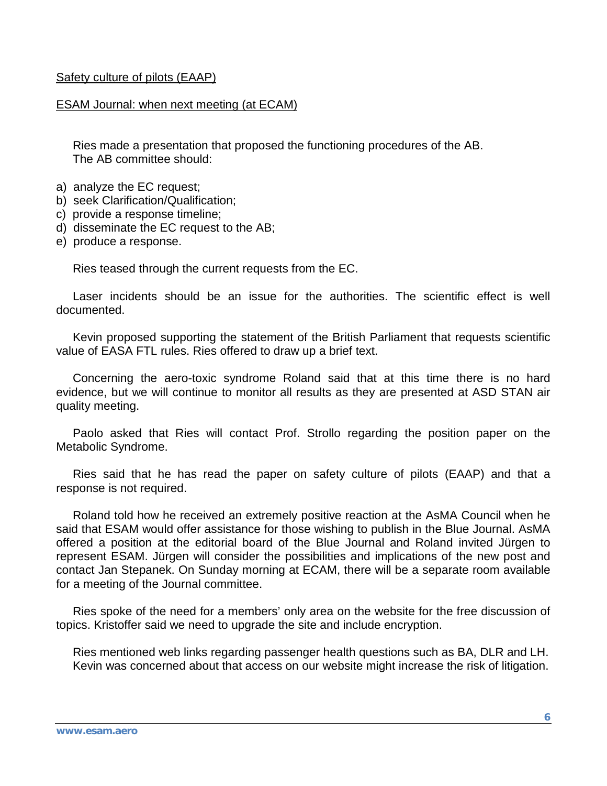#### Safety culture of pilots (EAAP)

#### ESAM Journal: when next meeting (at ECAM)

 Ries made a presentation that proposed the functioning procedures of the AB. The AB committee should:

- a) analyze the EC request;
- b) seek Clarification/Qualification;
- c) provide a response timeline;
- d) disseminate the EC request to the AB;
- e) produce a response.

Ries teased through the current requests from the EC.

 Laser incidents should be an issue for the authorities. The scientific effect is well documented.

 Kevin proposed supporting the statement of the British Parliament that requests scientific value of EASA FTL rules. Ries offered to draw up a brief text.

 Concerning the aero-toxic syndrome Roland said that at this time there is no hard evidence, but we will continue to monitor all results as they are presented at ASD STAN air quality meeting.

 Paolo asked that Ries will contact Prof. Strollo regarding the position paper on the Metabolic Syndrome.

 Ries said that he has read the paper on safety culture of pilots (EAAP) and that a response is not required.

 Roland told how he received an extremely positive reaction at the AsMA Council when he said that ESAM would offer assistance for those wishing to publish in the Blue Journal. AsMA offered a position at the editorial board of the Blue Journal and Roland invited Jürgen to represent ESAM. Jürgen will consider the possibilities and implications of the new post and contact Jan Stepanek. On Sunday morning at ECAM, there will be a separate room available for a meeting of the Journal committee.

 Ries spoke of the need for a members' only area on the website for the free discussion of topics. Kristoffer said we need to upgrade the site and include encryption.

 Ries mentioned web links regarding passenger health questions such as BA, DLR and LH. Kevin was concerned about that access on our website might increase the risk of litigation.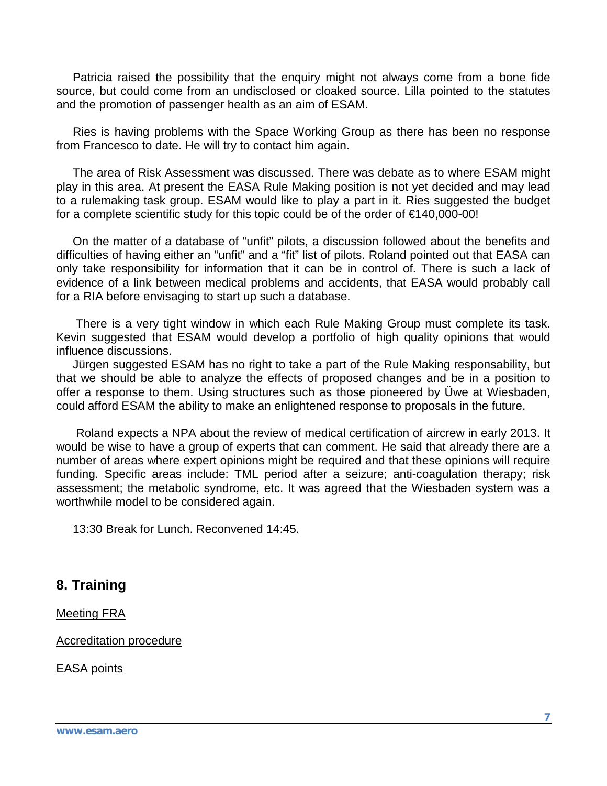Patricia raised the possibility that the enquiry might not always come from a bone fide source, but could come from an undisclosed or cloaked source. Lilla pointed to the statutes and the promotion of passenger health as an aim of ESAM.

 Ries is having problems with the Space Working Group as there has been no response from Francesco to date. He will try to contact him again.

 The area of Risk Assessment was discussed. There was debate as to where ESAM might play in this area. At present the EASA Rule Making position is not yet decided and may lead to a rulemaking task group. ESAM would like to play a part in it. Ries suggested the budget for a complete scientific study for this topic could be of the order of €140,000-00!

 On the matter of a database of "unfit" pilots, a discussion followed about the benefits and difficulties of having either an "unfit" and a "fit" list of pilots. Roland pointed out that EASA can only take responsibility for information that it can be in control of. There is such a lack of evidence of a link between medical problems and accidents, that EASA would probably call for a RIA before envisaging to start up such a database.

 There is a very tight window in which each Rule Making Group must complete its task. Kevin suggested that ESAM would develop a portfolio of high quality opinions that would influence discussions.

 Jürgen suggested ESAM has no right to take a part of the Rule Making responsability, but that we should be able to analyze the effects of proposed changes and be in a position to offer a response to them. Using structures such as those pioneered by Üwe at Wiesbaden, could afford ESAM the ability to make an enlightened response to proposals in the future.

 Roland expects a NPA about the review of medical certification of aircrew in early 2013. It would be wise to have a group of experts that can comment. He said that already there are a number of areas where expert opinions might be required and that these opinions will require funding. Specific areas include: TML period after a seizure; anti-coagulation therapy; risk assessment; the metabolic syndrome, etc. It was agreed that the Wiesbaden system was a worthwhile model to be considered again.

13:30 Break for Lunch. Reconvened 14:45.

### **8. Training**

Meeting FRA

Accreditation procedure

EASA points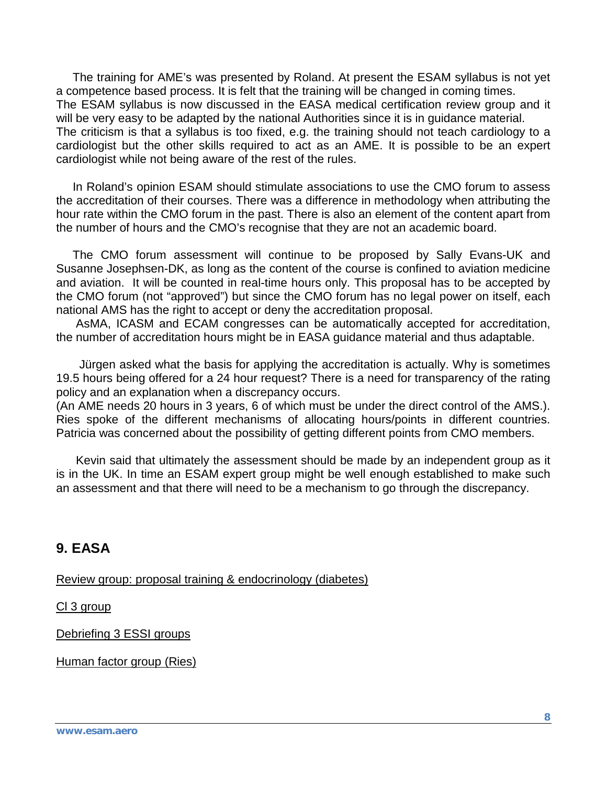The training for AME's was presented by Roland. At present the ESAM syllabus is not yet a competence based process. It is felt that the training will be changed in coming times. The ESAM syllabus is now discussed in the EASA medical certification review group and it will be very easy to be adapted by the national Authorities since it is in guidance material. The criticism is that a syllabus is too fixed, e.g. the training should not teach cardiology to a cardiologist but the other skills required to act as an AME. It is possible to be an expert cardiologist while not being aware of the rest of the rules.

 In Roland's opinion ESAM should stimulate associations to use the CMO forum to assess the accreditation of their courses. There was a difference in methodology when attributing the hour rate within the CMO forum in the past. There is also an element of the content apart from the number of hours and the CMO's recognise that they are not an academic board.

 The CMO forum assessment will continue to be proposed by Sally Evans-UK and Susanne Josephsen-DK, as long as the content of the course is confined to aviation medicine and aviation. It will be counted in real-time hours only. This proposal has to be accepted by the CMO forum (not "approved") but since the CMO forum has no legal power on itself, each national AMS has the right to accept or deny the accreditation proposal.

 AsMA, ICASM and ECAM congresses can be automatically accepted for accreditation, the number of accreditation hours might be in EASA guidance material and thus adaptable.

 Jürgen asked what the basis for applying the accreditation is actually. Why is sometimes 19.5 hours being offered for a 24 hour request? There is a need for transparency of the rating policy and an explanation when a discrepancy occurs.

(An AME needs 20 hours in 3 years, 6 of which must be under the direct control of the AMS.). Ries spoke of the different mechanisms of allocating hours/points in different countries. Patricia was concerned about the possibility of getting different points from CMO members.

 Kevin said that ultimately the assessment should be made by an independent group as it is in the UK. In time an ESAM expert group might be well enough established to make such an assessment and that there will need to be a mechanism to go through the discrepancy.

# **9. EASA**

Review group: proposal training & endocrinology (diabetes)

Cl 3 group

Debriefing 3 ESSI groups

Human factor group (Ries)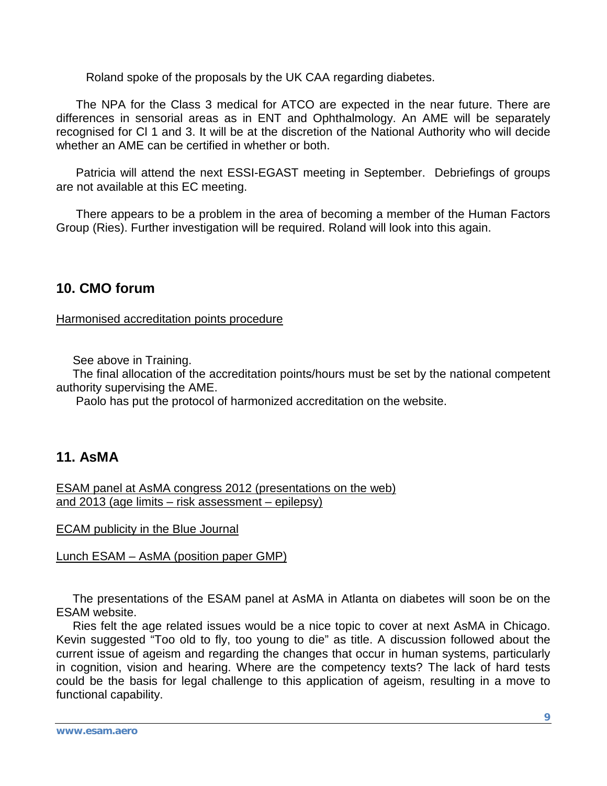Roland spoke of the proposals by the UK CAA regarding diabetes.

 The NPA for the Class 3 medical for ATCO are expected in the near future. There are differences in sensorial areas as in ENT and Ophthalmology. An AME will be separately recognised for Cl 1 and 3. It will be at the discretion of the National Authority who will decide whether an AME can be certified in whether or both.

 Patricia will attend the next ESSI-EGAST meeting in September. Debriefings of groups are not available at this EC meeting.

 There appears to be a problem in the area of becoming a member of the Human Factors Group (Ries). Further investigation will be required. Roland will look into this again.

### **10. CMO forum**

Harmonised accreditation points procedure

See above in Training.

 The final allocation of the accreditation points/hours must be set by the national competent authority supervising the AME.

Paolo has put the protocol of harmonized accreditation on the website.

### **11. AsMA**

ESAM panel at AsMA congress 2012 (presentations on the web) and 2013 (age limits – risk assessment – epilepsy)

ECAM publicity in the Blue Journal

Lunch ESAM – AsMA (position paper GMP)

 The presentations of the ESAM panel at AsMA in Atlanta on diabetes will soon be on the ESAM website.

 Ries felt the age related issues would be a nice topic to cover at next AsMA in Chicago. Kevin suggested "Too old to fly, too young to die" as title. A discussion followed about the current issue of ageism and regarding the changes that occur in human systems, particularly in cognition, vision and hearing. Where are the competency texts? The lack of hard tests could be the basis for legal challenge to this application of ageism, resulting in a move to functional capability.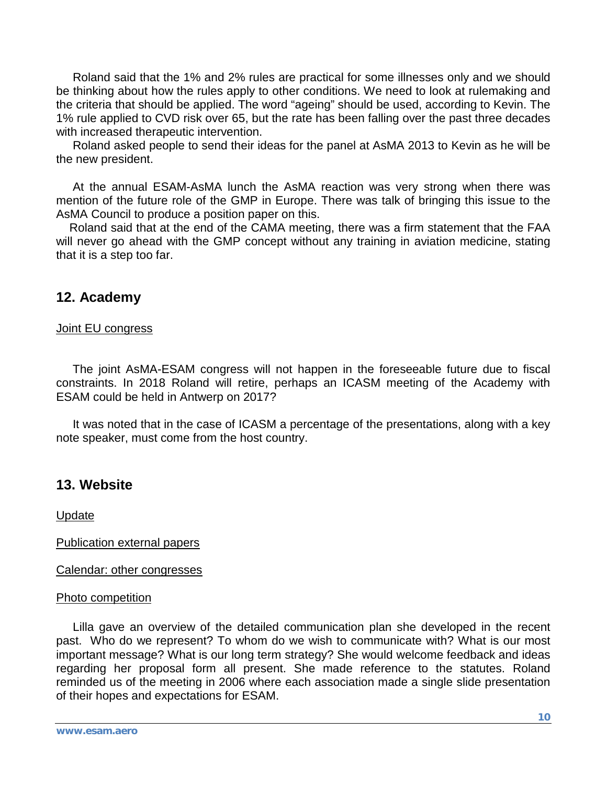Roland said that the 1% and 2% rules are practical for some illnesses only and we should be thinking about how the rules apply to other conditions. We need to look at rulemaking and the criteria that should be applied. The word "ageing" should be used, according to Kevin. The 1% rule applied to CVD risk over 65, but the rate has been falling over the past three decades with increased therapeutic intervention.

 Roland asked people to send their ideas for the panel at AsMA 2013 to Kevin as he will be the new president.

 At the annual ESAM-AsMA lunch the AsMA reaction was very strong when there was mention of the future role of the GMP in Europe. There was talk of bringing this issue to the AsMA Council to produce a position paper on this.

 Roland said that at the end of the CAMA meeting, there was a firm statement that the FAA will never go ahead with the GMP concept without any training in aviation medicine, stating that it is a step too far.

### **12. Academy**

#### Joint EU congress

 The joint AsMA-ESAM congress will not happen in the foreseeable future due to fiscal constraints. In 2018 Roland will retire, perhaps an ICASM meeting of the Academy with ESAM could be held in Antwerp on 2017?

 It was noted that in the case of ICASM a percentage of the presentations, along with a key note speaker, must come from the host country.

# **13. Website**

Update

Publication external papers

Calendar: other congresses

### Photo competition

 Lilla gave an overview of the detailed communication plan she developed in the recent past. Who do we represent? To whom do we wish to communicate with? What is our most important message? What is our long term strategy? She would welcome feedback and ideas regarding her proposal form all present. She made reference to the statutes. Roland reminded us of the meeting in 2006 where each association made a single slide presentation of their hopes and expectations for ESAM.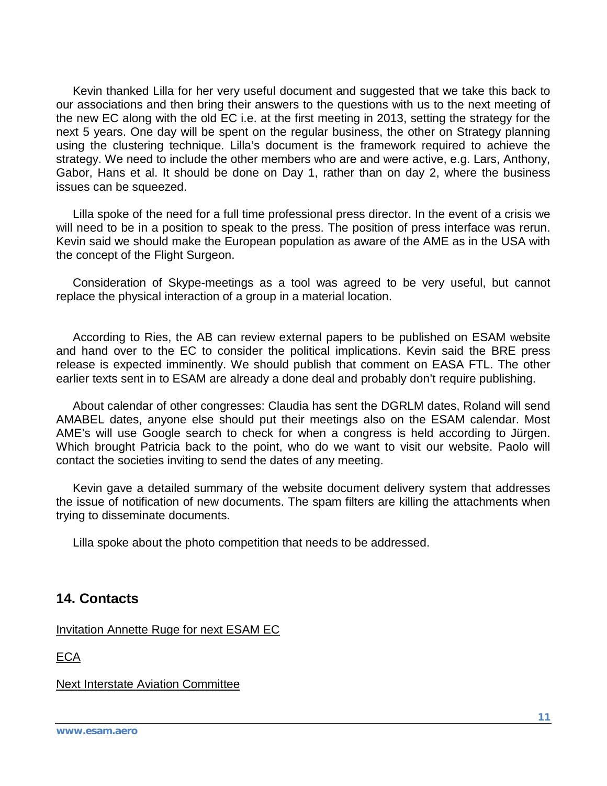Kevin thanked Lilla for her very useful document and suggested that we take this back to our associations and then bring their answers to the questions with us to the next meeting of the new EC along with the old EC i.e. at the first meeting in 2013, setting the strategy for the next 5 years. One day will be spent on the regular business, the other on Strategy planning using the clustering technique. Lilla's document is the framework required to achieve the strategy. We need to include the other members who are and were active, e.g. Lars, Anthony, Gabor, Hans et al. It should be done on Day 1, rather than on day 2, where the business issues can be squeezed.

 Lilla spoke of the need for a full time professional press director. In the event of a crisis we will need to be in a position to speak to the press. The position of press interface was rerun. Kevin said we should make the European population as aware of the AME as in the USA with the concept of the Flight Surgeon.

 Consideration of Skype-meetings as a tool was agreed to be very useful, but cannot replace the physical interaction of a group in a material location.

 According to Ries, the AB can review external papers to be published on ESAM website and hand over to the EC to consider the political implications. Kevin said the BRE press release is expected imminently. We should publish that comment on EASA FTL. The other earlier texts sent in to ESAM are already a done deal and probably don't require publishing.

 About calendar of other congresses: Claudia has sent the DGRLM dates, Roland will send AMABEL dates, anyone else should put their meetings also on the ESAM calendar. Most AME's will use Google search to check for when a congress is held according to Jürgen. Which brought Patricia back to the point, who do we want to visit our website. Paolo will contact the societies inviting to send the dates of any meeting.

 Kevin gave a detailed summary of the website document delivery system that addresses the issue of notification of new documents. The spam filters are killing the attachments when trying to disseminate documents.

Lilla spoke about the photo competition that needs to be addressed.

### **14. Contacts**

Invitation Annette Ruge for next ESAM EC

**ECA** 

Next Interstate Aviation Committee